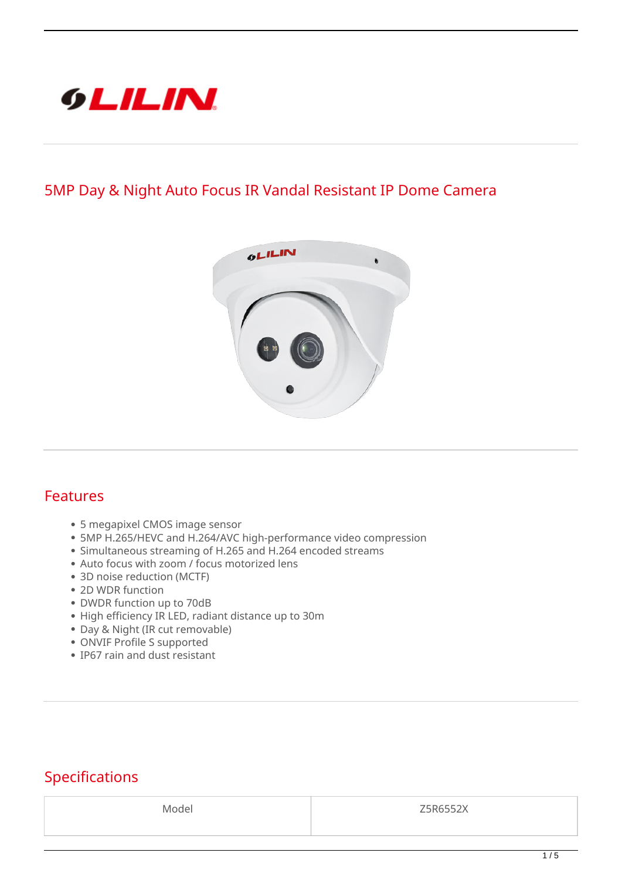

## **5MP Day & Night Auto Focus IR Vandal Resistant IP Dome Camera**



## **Features**

- 5 megapixel CMOS image sensor
- 5MP H.265/HEVC and H.264/AVC high-performance video compression
- Simultaneous streaming of H.265 and H.264 encoded streams
- Auto focus with zoom / focus motorized lens
- 3D noise reduction (MCTF)
- 2D WDR function
- DWDR function up to 70dB
- High efficiency IR LED, radiant distance up to 30m
- Day & Night (IR cut removable)
- ONVIF Profile S supported
- IP67 rain and dust resistant

## **Specifications**

Model Z5R6552X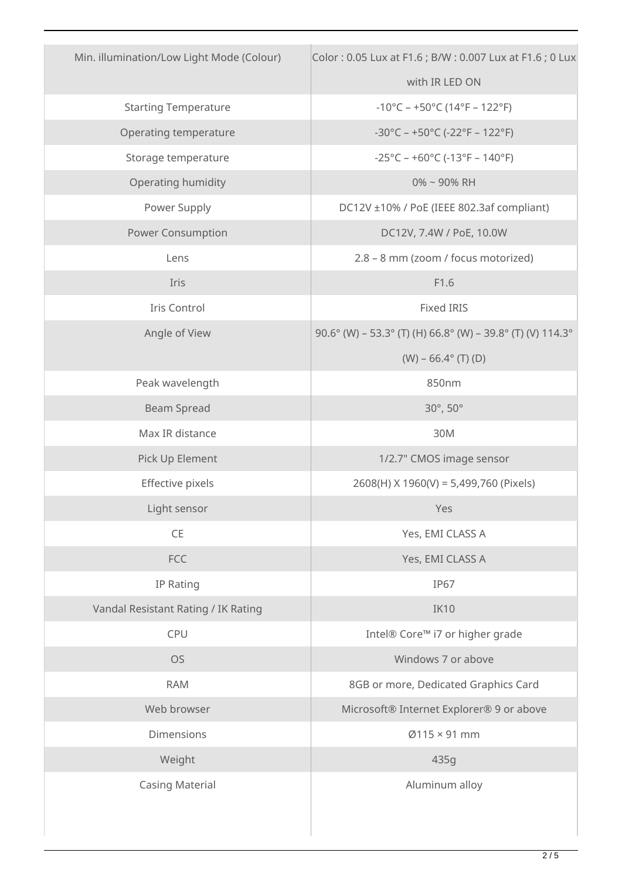| Min. illumination/Low Light Mode (Colour) | Color: 0.05 Lux at F1.6 ; B/W: 0.007 Lux at F1.6 ; 0 Lux                 |
|-------------------------------------------|--------------------------------------------------------------------------|
|                                           | with IR LED ON                                                           |
| <b>Starting Temperature</b>               | $-10^{\circ}$ C – +50°C (14°F – 122°F)                                   |
| Operating temperature                     | $-30^{\circ}$ C – +50 $^{\circ}$ C (-22 $^{\circ}$ F – 122 $^{\circ}$ F) |
| Storage temperature                       | $-25^{\circ}$ C – +60 $^{\circ}$ C (-13 $^{\circ}$ F – 140 $^{\circ}$ F) |
| Operating humidity                        | $0\%$ ~ 90% RH                                                           |
| Power Supply                              | DC12V ±10% / PoE (IEEE 802.3af compliant)                                |
| <b>Power Consumption</b>                  | DC12V, 7.4W / PoE, 10.0W                                                 |
| Lens                                      | 2.8 - 8 mm (zoom / focus motorized)                                      |
| Iris                                      | F1.6                                                                     |
| Iris Control                              | <b>Fixed IRIS</b>                                                        |
| Angle of View                             | 90.6° (W) - 53.3° (T) (H) 66.8° (W) - 39.8° (T) (V) 114.3°               |
|                                           | $(W) - 66.4^{\circ}$ (T) (D)                                             |
| Peak wavelength                           | 850nm                                                                    |
| <b>Beam Spread</b>                        | 30°, 50°                                                                 |
| Max IR distance                           | 30M                                                                      |
| Pick Up Element                           | 1/2.7" CMOS image sensor                                                 |
| Effective pixels                          | 2608(H) X 1960(V) = 5,499,760 (Pixels)                                   |
| Light sensor                              | Yes                                                                      |
| $\mathsf{CE}$                             | Yes, EMI CLASS A                                                         |
| FCC                                       | Yes, EMI CLASS A                                                         |
| IP Rating                                 | <b>IP67</b>                                                              |
| Vandal Resistant Rating / IK Rating       | IK10                                                                     |
| CPU                                       | Intel® Core™ i7 or higher grade                                          |
| <b>OS</b>                                 | Windows 7 or above                                                       |
| <b>RAM</b>                                | 8GB or more, Dedicated Graphics Card                                     |
| Web browser                               | Microsoft® Internet Explorer® 9 or above                                 |
| Dimensions                                | $Ø115 \times 91$ mm                                                      |
| Weight                                    | 435g                                                                     |
| <b>Casing Material</b>                    | Aluminum alloy                                                           |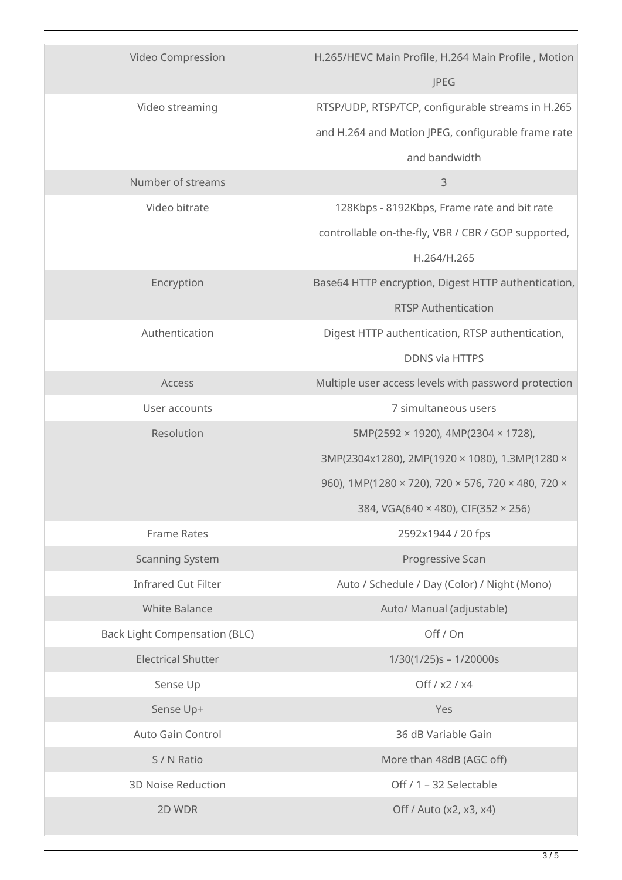| Video Compression                    | H.265/HEVC Main Profile, H.264 Main Profile, Motion<br>JPEG |
|--------------------------------------|-------------------------------------------------------------|
| Video streaming                      | RTSP/UDP, RTSP/TCP, configurable streams in H.265           |
|                                      | and H.264 and Motion JPEG, configurable frame rate          |
|                                      | and bandwidth                                               |
| Number of streams                    | 3                                                           |
| Video bitrate                        | 128Kbps - 8192Kbps, Frame rate and bit rate                 |
|                                      | controllable on-the-fly, VBR / CBR / GOP supported,         |
|                                      | H.264/H.265                                                 |
| Encryption                           | Base64 HTTP encryption, Digest HTTP authentication,         |
|                                      | <b>RTSP Authentication</b>                                  |
| Authentication                       | Digest HTTP authentication, RTSP authentication,            |
|                                      | <b>DDNS via HTTPS</b>                                       |
| Access                               | Multiple user access levels with password protection        |
| User accounts                        | 7 simultaneous users                                        |
| Resolution                           | 5MP(2592 × 1920), 4MP(2304 × 1728),                         |
|                                      | 3MP(2304x1280), 2MP(1920 × 1080), 1.3MP(1280 ×              |
|                                      | 960), 1MP(1280 × 720), 720 × 576, 720 × 480, 720 ×          |
|                                      | 384, VGA(640 × 480), CIF(352 × 256)                         |
| <b>Frame Rates</b>                   | 2592x1944 / 20 fps                                          |
| <b>Scanning System</b>               | Progressive Scan                                            |
| <b>Infrared Cut Filter</b>           | Auto / Schedule / Day (Color) / Night (Mono)                |
| <b>White Balance</b>                 | Auto/ Manual (adjustable)                                   |
| <b>Back Light Compensation (BLC)</b> | Off / On                                                    |
| <b>Electrical Shutter</b>            | $1/30(1/25)s - 1/20000s$                                    |
| Sense Up                             | Off / x2 / x4                                               |
| Sense Up+                            | Yes                                                         |
| Auto Gain Control                    | 36 dB Variable Gain                                         |
| S / N Ratio                          | More than 48dB (AGC off)                                    |
| <b>3D Noise Reduction</b>            | Off / 1 - 32 Selectable                                     |
| 2D WDR                               | Off / Auto (x2, x3, x4)                                     |